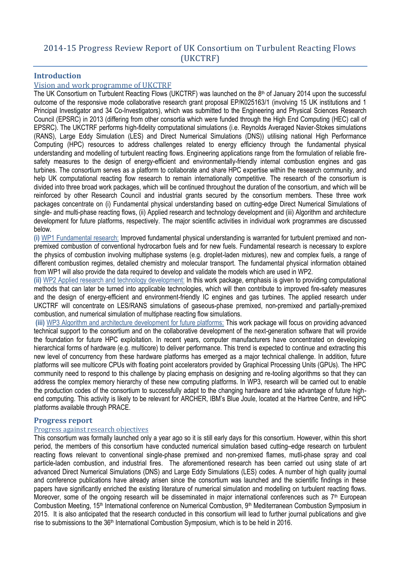# 2014-15 Progress Review Report of UK Consortium on Turbulent Reacting Flows (UKCTRF)

# **Introduction**

# Vision and work programme of UKCTRF

The UK Consortium on Turbulent Reacting Flows (UKCTRF) was launched on the 8<sup>th</sup> of January 2014 upon the successful outcome of the responsive mode collaborative research grant proposal EP/K025163/1 (involving 15 UK institutions and 1 Principal Investigator and 34 Co-Investigators), which was submitted to the Engineering and Physical Sciences Research Council (EPSRC) in 2013 (differing from other consortia which were funded through the High End Computing (HEC) call of EPSRC). The UKCTRF performs high-fidelity computational simulations (i.e. Reynolds Averaged Navier-Stokes simulations (RANS), Large Eddy Simulation (LES) and Direct Numerical Simulations (DNS)) utilising national High Performance Computing (HPC) resources to address challenges related to energy efficiency through the fundamental physical understanding and modelling of turbulent reacting flows. Engineering applications range from the formulation of reliable firesafety measures to the design of energy-efficient and environmentally-friendly internal combustion engines and gas turbines. The consortium serves as a platform to collaborate and share HPC expertise within the research community, and help UK computational reacting flow research to remain internationally competitive. The research of the consortium is divided into three broad work packages, which will be continued throughout the duration of the consortium, and which will be reinforced by other Research Council and industrial grants secured by the consortium members. These three work packages concentrate on (i) Fundamental physical understanding based on cutting-edge Direct Numerical Simulations of single- and multi-phase reacting flows, (ii) Applied research and technology development and (iii) Algorithm and architecture development for future platforms, respectively. The major scientific activities in individual work programmes are discussed below.

**(i)** WP1 Fundamental research: Improved fundamental physical understanding is warranted for turbulent premixed and nonpremixed combustion of conventional hydrocarbon fuels and for new fuels. Fundamental research is necessary to explore the physics of combustion involving multiphase systems (e.g. droplet-laden mixtures), new and complex fuels, a range of different combustion regimes, detailed chemistry and molecular transport. The fundamental physical information obtained from WP1 will also provide the data required to develop and validate the models which are used in WP2.

**(ii)** WP2 Applied research and technology development: In this work package, emphasis is given to providing computational methods that can later be turned into applicable technologies, which will then contribute to improved fire-safety measures and the design of energy-efficient and environment-friendly IC engines and gas turbines. The applied research under UKCTRF will concentrate on LES/RANS simulations of gaseous-phase premixed, non-premixed and partially-premixed combustion, and numerical simulation of multiphase reacting flow simulations.

**(iii)** WP3 Algorithm and architecture development for future platforms: This work package will focus on providing advanced technical support to the consortium and on the collaborative development of the next-generation software that will provide the foundation for future HPC exploitation. In recent years, computer manufacturers have concentrated on developing hierarchical forms of hardware (e.g. multicore) to deliver performance. This trend is expected to continue and extracting this new level of concurrency from these hardware platforms has emerged as a major technical challenge. In addition, future platforms will see multicore CPUs with floating point accelerators provided by Graphical Processing Units (GPUs). The HPC community need to respond to this challenge by placing emphasis on designing and re-tooling algorithms so that they can address the complex memory hierarchy of these new computing platforms. In WP3, research will be carried out to enable the production codes of the consortium to successfully adapt to the changing hardware and take advantage of future highend computing. This activity is likely to be relevant for ARCHER, IBM's Blue Joule, located at the Hartree Centre, and HPC platforms available through PRACE.

## **Progress report**

## Progress against research objectives

This consortium was formally launched only a year ago so it is still early days for this consortium. However, within this short period, the members of this consortium have conducted numerical simulation based cutting–edge research on turbulent reacting flows relevant to conventional single-phase premixed and non-premixed flames, mutli-phase spray and coal particle-laden combustion, and industrial fires. The aforementioned research has been carried out using state of art advanced Direct Numerical Simulations (DNS) and Large Eddy Simulations (LES) codes. A number of high quality journal and conference publications have already arisen since the consortium was launched and the scientific findings in these papers have significantly enriched the existing literature of numerical simulation and modelling on turbulent reacting flows. Moreover, some of the ongoing research will be disseminated in major international conferences such as 7<sup>th</sup> European Combustion Meeting, 15th International conference on Numerical Combustion, 9th Mediterranean Combustion Symposium in 2015. It is also anticipated that the research conducted in this consortium will lead to further journal publications and give rise to submissions to the 36<sup>th</sup> International Combustion Symposium, which is to be held in 2016.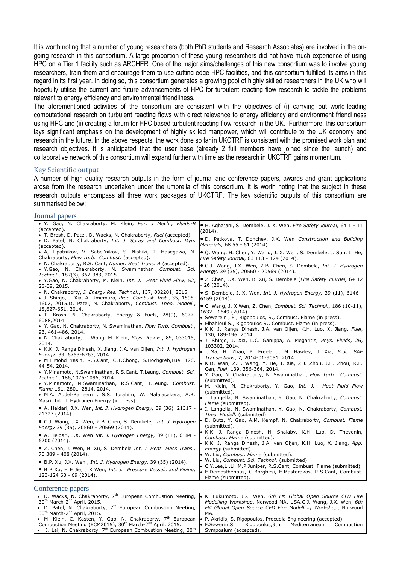It is worth noting that a number of young researchers (both PhD students and Research Associates) are involved in the ongoing research in this consortium. A large proportion of these young researchers did not have much experience of using HPC on a Tier 1 facility such as ARCHER. One of the major aims/challenges of this new consortium was to involve young researchers, train them and encourage them to use cutting-edge HPC facilities, and this consortium fulfilled its aims in this regard in its first year. In doing so, this consortium generates a growing pool of highly skilled researchers in the UK who will hopefully utilise the current and future advancements of HPC for turbulent reacting flow research to tackle the problems relevant to energy efficiency and environmental friendliness.

The aforementioned activities of the consortium are consistent with the objectives of (i) carrying out world-leading computational research on turbulent reacting flows with direct relevance to energy efficiency and environment friendliness using HPC and (ii) creating a forum for HPC based turbulent reacting flow research in the UK. Furthermore, this consortium lays significant emphasis on the development of highly skilled manpower, which will contribute to the UK economy and research in the future. In the above respects, the work done so far in UKCTRF is consistent with the promised work plan and research objectives. It is anticipated that the user base (already 2 full members have joined since the launch) and collaborative network of this consortium will expand further with time as the research in UKCTRF gains momentum.

#### Key Scientific output

A number of high quality research outputs in the form of journal and conference papers, awards and grant applications arose from the research undertaken under the umbrella of this consortium. It is worth noting that the subject in these research outputs encompass all three work packages of UKCTRF. The key scientific outputs of this consortium are summarised below:

#### Journal papers

| · Y. Gao, N. Chakraborty, M. Klein, Eur. J Mech., Fluids-B<br>(accepted).                                     | . H. Aghajani, S. Dembele, J. X. Wen, Fire Safety Journal, 64 1 - 11<br>(2014).               |  |
|---------------------------------------------------------------------------------------------------------------|-----------------------------------------------------------------------------------------------|--|
| • T. Brosh, D. Patel, D. Wacks, N. Chakraborty, Fuel (accepted).                                              |                                                                                               |  |
| . D. Patel, N. Chakraborty, Int. J. Spray and Combust. Dyn.                                                   | · D. Petkova, T. Donchev, J.X. Wen Construction and Building<br>Materials, 68 55 - 61 (2014). |  |
| (accepted).                                                                                                   |                                                                                               |  |
| · A, Lipatnikov, V. Sabel'nikov, S. Nishiki, T. Hasegawa, N.                                                  | ● Q. Wang, H. Chen, Y. Wang, J. X. Wen, S. Dembele, J. Sun, L. He,                            |  |
| Chakraborty, Flow Turb. Combust. (accepted).<br>• N. Chakraborty, R.S. Cant, Numer. Heat Trans. A (accepted). | Fire Safety Journal, 63 113 - 124 (2014).                                                     |  |
| · Y.Gao, N. Chakraborty, N. Swaminathan Combust. Sci.                                                         | • C.J. Wang, J.X. Wen, Z.B. Chen, S. Dembele, Int. J. Hydrogen                                |  |
| Technol., 187(3), 362-383, 2015.                                                                              | Energy, 39 (35), 20560 - 20569 (2014).                                                        |  |
| . Y.Gao, N. Chakraborty, M. Klein, Int. J. Heat Fluid Flow, 52,                                               | . Z. Chen, J.X. Wen, B. Xu, S. Dembele (Fire Safety Journal, 64 12                            |  |
| 28-39, 2015.                                                                                                  | - 26 (2014).                                                                                  |  |
| • N. Chakraborty, J. Energy Res. Technol., 137, 032201, 2015.                                                 | • S. Dembele, J. X. Wen, Int. J. Hydrogen Energy, 39 (11), 6146 -                             |  |
| • J. Shinjo, J. Xia, A. Umemura, Proc. Combust. Inst., 35, 1595-                                              | 6159 (2014).                                                                                  |  |
| 1602, 2015.D. Patel, N. Chakraborty, Combust. Theo. Modell.,                                                  | • C. Wang, J. X Wen, Z. Chen, Combust. Sci. Technol., 186 (10-11),                            |  |
| 18,627-651, 2014.                                                                                             | 1632 - 1649 (2014).                                                                           |  |
| · T. Brosh, N. Chakraborty, Energy & Fuels, 28(9), 6077-                                                      | • Sewerein, F., Rigopoulos, S., Combust. Flame (in press).                                    |  |
| 6088,2014.                                                                                                    | • Elbahloul S., Rigopoulos S., Combust. Flame (in press).                                     |  |
| . Y. Gao, N. Chakraborty, N. Swaminathan, Flow Turb. Combust.,                                                | • K.K. J. Ranga Dinesh, J.A. van Oijen, K.H. Luo, X. Jiang, Fuel,                             |  |
| 93, 461-486, 2014.                                                                                            | 130, 189-196, 2014.                                                                           |  |
| • N. Chakraborty, L. Wang, M. Klein, Phys. Rev.E, 89, 033015,                                                 | · J. Shinjo, J. Xia, L.C. Ganippa, A. Megaritis, <i>Phys. Fluids</i> , 26,                    |  |
| 2014.<br>• K.K. J. Ranga Dinesh, X. Jiang, J.A. van Oijen, Int. J. Hydrogen                                   | 103302, 2014.                                                                                 |  |
| Energy. 39, 6753-6763, 2014.                                                                                  | • J.Ma, H. Zhao, P. Freeland, M. Hawley, J. Xia, Proc. SAE                                    |  |
| · M.F.Mohd Yasin, R.S.Cant, C.T.Chong, S.Hochgreb,Fuel 126,                                                   | Transactions, 7, 2014-01-9051, 2014.                                                          |  |
| 44-54, 2014.                                                                                                  | • K.D. Wan, Z.H. Wang, Y. He, J. Xia, Z.J. Zhou, J.H. Zhou, K.F.                              |  |
| . Y.Minamoto, N.Swaminathan, R.S.Cant, T.Leung, Combust. Sci.                                                 | Cen, Fuel, 139, 356-364, 2014.                                                                |  |
| Technol., 186,1075-1096, 2014.                                                                                | . Y. Gao, N. Chakraborty, N. Swaminathan, Flow Turb. Combust.                                 |  |
| . Y.Minamoto, N.Swaminathan, R.S.Cant, T.Leung, Combust.                                                      | (submitted).                                                                                  |  |
| Flame 161, 2801-2814, 2014.                                                                                   | • M. Klein, N. Chakraborty, Y. Gao, Int. J. Heat Fluid Flow<br>(submitted).                   |  |
| • M.A. Abdel-Raheem, S.S. Ibrahim, W. Malalasekera, A.R.                                                      | . I. Langella, N. Swaminathan, Y. Gao, N. Chakraborty, Combust.                               |  |
| Masri, Int. J. Hydrogen Energy (in press).                                                                    | Flame (submitted).                                                                            |  |
| • A. Heidari, J.X. Wen, Int. J. Hydrogen Energy, 39 (36), 21317 -                                             | . I. Langella, N. Swaminathan, Y. Gao, N. Chakraborty, Combust.                               |  |
| 21327 (2014).                                                                                                 | Theo. Modell. (submitted).                                                                    |  |
| · C.J. Wang, J.X. Wen, Z.B. Chen, S. Dembele, Int. J. Hydrogen                                                | · D. Butz, Y. Gao, A.M. Kempf, N. Chakraborty, Combust. Flame                                 |  |
| Energy 39 (35), 20560 - 20569 (2014).                                                                         | (submitted).                                                                                  |  |
| • A. Heidari, J.X. Wen Int. J. Hydrogen Energy, 39 (11), 6184 -                                               | • K.K. J. Ranga Dinesh, H. Shalaby, K.H. Luo, D. Thevenin,                                    |  |
| 6200 (2014).                                                                                                  | Combust. Flame (submitted).                                                                   |  |
|                                                                                                               | • K.K. J. Ranga Dinesh, J.A. van Oijen, K.H. Luo, X. Jiang, App.                              |  |
| • Z. Chen, J. Wen, B. Xu, S. Dembele Int. J. Heat Mass Trans.,                                                | Energy (submitted).                                                                           |  |
| 70 389 - 408 (2014).                                                                                          | • W. Liu, Combust. Flame (submitted).<br>· W. Liu, Combust. Sci. Technol. (submitted).        |  |
| • B.P. Xu, J.X. Wen, Int. J. Hydrogen Energy, 39 (35) (2014).                                                 | • C.Y.Lee,LLi, M.P.Juniper, R.S.Cant, Combust. Flame (submitted).                             |  |
| • B P Xu, H E Jie, J X Wen, Int. J. Pressure Vessels and Piping,                                              | • E.Demosthenous, G.Borghesi, E.Mastorakos, R.S.Cant, Combust.                                |  |
| 123-124 60 - 69 (2014).                                                                                       | Flame (submitted).                                                                            |  |
|                                                                                                               |                                                                                               |  |
| Conference papers                                                                                             |                                                                                               |  |
| $\bullet$ D Wacks N Chakraborty 7 <sup>th</sup> European Combustion Meeting                                   | • K Eukumoto, J.X. Wen, 6th FM Global Onen Source CED Fire                                    |  |

D. Wacks, N. Chakraborty, 7<br>30<sup>th</sup> March-2<sup>nd</sup> April, 2015. th European Combustion Meeting, • D. Patel, N. Chakraborty,  $7<sup>th</sup>$  European Combustion Meeting, 30<sup>th</sup> March-2<sup>nd</sup> April, 2015. • M. Klein, C. Kasten, Y. Gao, N. Chakraborty, 7<sup>th</sup> European Combustion Meeting (ECM2015), 30<sup>th</sup> March-2<sup>nd</sup> April, 2015. • J. Lai, N. Chakraborty, 7<sup>th</sup> European Combustion Meeting, 30<sup>th</sup> K. Fukumoto, J.X. Wen, *6th FM Global Open Source CFD Fire Modelling Workshop*, Norwood MA, USA.C.J. Wang, J.X. Wen, *6th FM Global Open Source CFD Fire Modelling Workshop*, Norwood MA. P. Akridis, S. Rigopoulos, Procedia Engineering (accepted). F.Sewerin,S. Rigopoulos,9th Mediterranean Combustion Symposium (accepted).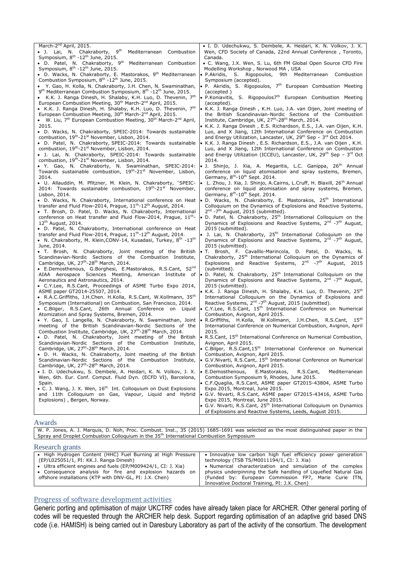March-2<sup>nd</sup> April, 2015.  $\bullet$  J. Lai, N. Chakraborty, 9<sup>th</sup> Mediterranean Combustion Symposium, 8<sup>th</sup> -12<sup>th</sup> June, 2015. • D. Patel, N. Chakraborty,  $9<sup>th</sup>$  Mediterranean Combustion Symposium, 8<sup>th</sup> -12<sup>th</sup> June, 2015. • D. Wacks, N. Chakraborty, E. Mastorakos, 9<sup>th</sup> Mediterranean Combustion Symposium,  $8<sup>th</sup> -12<sup>th</sup>$  June, 2015. Y. Gao, H. Kolla, N. Chakraborty, J.H. Chen, N. Swaminathan, 9<sup>th</sup> Mediterranean Combustion Symposium, 8<sup>th</sup> -12<sup>th</sup> June, 2015. • K.K. J. Ranga Dinesh, H. Shalaby, K.H. Luo, D. Thevenin,  $7<sup>th</sup>$ European Combustion Meeting, 30<sup>th</sup> March-2<sup>nd</sup> April, 2015. • K.K. J. Ranga Dinesh, H. Shalaby, K.H. Luo, D. Thevenin,  $7<sup>th</sup>$ European Combustion Meeting, 30<sup>th</sup> March-2<sup>nd</sup> April, 2015. • W. Liu,  $7<sup>th</sup>$  European Combustion Meeting, 30<sup>th</sup> March-2<sup>nd</sup> April, 2015. D. Wacks, N. Chakraborty, SPEIC-2014: Towards sustainable combustion, 19<sup>th</sup>-21<sup>st</sup> November, Lisbon, 2014. D. Patel, N. Chakraborty, SPEIC-2014: Towards sustainable combustion, 19<sup>th</sup>-21<sup>st</sup> November, Lisbon, 2014. J. Lai, N. Chakraborty, SPEIC-2014: Towards sustainable combustion, 19<sup>th</sup>-21<sup>st</sup> November, Lisbon, 2014. Y. Gao, N. Chakraborty, N. Swaminathan, SPEIC-2014: Towards sustainable combustion, 19<sup>th</sup>-21<sup>st</sup> November, Lisbon, 2014. U. Allauddin, M. Pfitzner, M. Klein, N. Chakraborty, "SPEIC-2014: Towards sustainable combustion, 19<sup>th</sup>-21<sup>st</sup> November, Lisbon, 2014. • D. Wacks, N. Chakraborty, International conference on Heat transfer and Fluid Flow-2014, Prague,  $11<sup>th</sup>$ -12<sup>th</sup> August, 2014. T. Brosh, D. Patel, D. Wacks, N. Chakraborty, International conference on Heat transfer and Fluid Flow-2014, Prague, 11<sup>th</sup>-12th August, 2014. D. Patel, N. Chakraborty, International conference on Heat transfer and Fluid Flow-2014, Prague, 11<sup>th</sup>-12<sup>th</sup> August, 2014. • N. Chakraborty, M. Klein, CONV-14, Kusadasi, Turkey,  $8^{th}$  -13<sup>th</sup> June, 2014. T. Brosh, N. Chakraborty, Joint meeting of the British Scandinavian-Nordic Sections of the Combustion Institute,<br>Cambridge, UK, 27<sup>th</sup>-28<sup>th</sup> March, 2014. E.Demosthenous, G.Borghesi, E.Mastorakos, R.S.Cant, 52nd AIAA Aerospace Sciences Meeting, American Institute of Aeronautics and Astronautics, 2014. C.Y.Lee, R.S.Cant, Proceedings of ASME Turbo Expo 2014, ASME paper GT2014-25507, 2014. R.A.C.Griffiths, J.H.Chen. H.Kolla, R.S.Cant, W.Kollmann, 35th Symposium (International) on Combustion, San Francisco, 2014. C.Bilger, R.S.Cant, 26th Annual Conference on Liquid Atomization and Spray Systems, Bremen, 2014. Y. Gao, I. Langella, N. Chakraborty, N. Swaminathan, Joint meeting of the British Scandinavian-Nordic Sections of the Combustion Institute, Cambridge, UK, 27<sup>th</sup>-28<sup>th</sup> March, 2014. D. Patel, N. Chakraborty, Joint meeting of the British Scandinavian-Nordic Sections of the Combustion Institute, Cambridge, UK, 27<sup>th</sup>-28<sup>th</sup> March, 2014. D. H. Wacks, N. Chakraborty, Joint meeting of the British Scandinavian-Nordic Sections of the Combustion Institute, Cambridge, UK, 27<sup>th</sup>-28<sup>th</sup> March, 2014. I. D. Udechukwu, S. Dembele, A. Heidari, K. N. Volkov, J. X. Wen, 6th. Eur. Conf. Comput. Fluid Dyn. (ECFD VI), Barcelona, Spain.  $\bullet$  C. J. Wang, J. X. Wen, 16<sup>th</sup> Int. Colloquium on Dust Explosions and 11th Colloquium on Gas, Vapour, Liquid and Hybrid Explosions) , Bergen, Norway. I. D. Udechukwu, S. Dembele, A. Heidari, K. N. Volkov, J. X. Wen, CFD Society of Canada, 22nd Annual Conference , Toronto, Canada. C. Wang, J.X. Wen, S. Lu, 6th FM Global Open Source CFD Fire Modelling Workshop , Norwood MA , USA P.Akridis, S. Rigopoulos, 9th Mediterranean Combustion Symposium (accepted). P. Akridis, S. Rigopoulos, 7th European Combustion Meeting (accepted ) P.Koniavitis, S. Rigopoulos7<sup>th</sup> European Combustion Meeting (accepted). K.K. J. Ranga Dinesh , K.H. Luo, J.A. van Oijen, Joint meeting of the British Scandinavian-Nordic Sections of the Combustion Institute, Cambridge, UK, 27<sup>th</sup>-28<sup>th</sup> March, 2014. K.K. J. Ranga Dinesh , E.S. Richardson, E.S., J.A. van Oijen, K.H. Luo, and X Jiang, 12th International Conference on Combustion and Energy Utilization, Lancaster, UK, 29<sup>th</sup> Sep - 3<sup>rd</sup> Oct 2014. K.K. J. Ranga Dinesh , E.S. Richardson, E.S., J.A. van Oijen , K.H. Luo, and X Jiang, 12th International Conference on Combustion and Energy Utilization (ICCEU), Lancaster, UK, 29<sup>th</sup> Sep - 3<sup>rd</sup> Oct 2014. J. Shinjo, J. Xia, A. Megaritis, L.C. Ganippa, 26<sup>th</sup> Annual conference on liquid atomisation and spray systems, Bremen, Germany,  $8^{th}$ -10<sup>th</sup> Sept. 2014. L. Zhou, J. Xia, J. Shinjo, A.Cairns, L.Cruff, H. Blaxill, 26<sup>th</sup> Annual conference on liquid atomisation and spray systems, Bremen, Germany,  $8^{th}$ -10<sup>th</sup> Sept. 2014. D. Wacks, N. Chakraborty, E. Mastorakos, 25<sup>th</sup> International Colloquium on the Dynamics of Explosions and Reactive Systems, 2<sup>nd</sup> -7<sup>th</sup> August, 2015 (submitted). D. Patel, N. Chakraborty, 25<sup>th</sup> International Colloquium on the Dynamics of Explosions and Reactive Systems, 2<sup>nd</sup> -7<sup>th</sup> August, 2015 (submitted).  $\bullet$  J. Lai, N. Chakraborty, 25<sup>th</sup> International Colloquium on the Dynamics of Explosions and Reactive Systems, 2<sup>nd</sup> -7<sup>th</sup> August, 2015 (submitted). • T. Brosh, F. Cavalllo-Marincola, D. Patel, D. Wacks, N.<br>Chakraborty, 25<sup>th</sup> International Colloquium on the Dynamics of Explosions and Reactive Systems,  $2^{nd}$  -7<sup>th</sup> August, 2015 (submitted). D. Patel, N. Chakraborty, 25<sup>th</sup> International Colloquium on the Dynamics of Explosions and Reactive Systems, 2<sup>nd</sup> -7<sup>th</sup> August, 2015 (submitted). K.K. J. Ranga Dinesh, H. Shalaby, K.H. Luo, D. Thevenin, 25<sup>th</sup> International Colloquium on the Dynamics of Explosions and Reactive Systems,  $2^{nd}$  -7<sup>th</sup> August, 2015 (submitted).  $\bullet$  C.Y.Lee, R.S.Cant, 15<sup>th</sup> International Conference on Numerical Combustion, Avignon, April 2015. R.Griffiths, H.Kolla, W.Kollmann, J.H.Chen, R.S.Cant, 15th International Conference on Numerical Combustion, Avignon, April 2015. R.S.Cant, 15<sup>th</sup> International Conference on Numerical Combustion, Avignon, April 2015. C.Bilger, R.S.Cant,15<sup>th</sup> International Conference on Numerical Combustion, Avignon, April 2015. G.V.Nivarti, R.S.Cant, 15th International Conference on Numerical Combustion, Avignon, April 2015. E.Demosthenous, E.Mastorakos, R.S.Cant, Mediterranean Combustion Symposium 9, Rhodes, June 2015. C.F.Quaglia, R.S.Cant, ASME paper GT2015-43804, ASME Turbo Expo 2015, Montreal, June 2015. G.V. Nivarti, R.S.Cant, ASME paper GT2015-43416, ASME Turbo Expo 2015, Montreal, June 2015.<br>• G.V. Nivarti, R.S.Cant, 25<sup>th</sup> International Colloquium on Dynamics of Explosions and Reactive Systems, Leeds, August 2015. Awards W. P. Jones, A. J. Marquis, D. Noh, Proc. Combust. Inst., 35 (2015) 1685-1691 was selected as the most distinguished paper in the<br>Spray and Droplet Combustion Colloquium in the 35<sup>th</sup> International Combustion Symposium

#### Research grants

| $1.000$ and $1.000$                                            |                                                                 |
|----------------------------------------------------------------|-----------------------------------------------------------------|
| • High Hydrogen Content (HHC) Fuel Burning at High Pressure    | • Innovative low carbon high fuel efficiency power generation   |
| (EP/L025051/1, PI: KK.J. Ranga Dinesh)                         | technology (TSB TS/M0011194/1, CI: J. Xia)                      |
| • Ultra efficient engines and fuels (EP/M009424/1, CI: J. Xia) | • Numerical characterization and simulation of the complex      |
| • Consequence analysis for fire and explosion hazards<br>on    | physics underpinning the Safe handling of Liquefied Natural Gas |
| offshore installations (KTP with DNV-GL, PI: J.X. Chen)        | (Funded by: European Commission FP7, Marie Curie ITN,           |
|                                                                | Innovative Doctoral Training, PI: J.X. Chen)                    |

#### Progress of software development activities

Generic porting and optimisation of major UKCTRF codes have already taken place for ARCHER. Other general porting of codes will be requested through the ARCHER help desk. Support regarding optimisation of an adaptive grid based DNS code (i.e. HAMISH) is being carried out in Daresbury Laboratory as part of the activity of the consortium. The development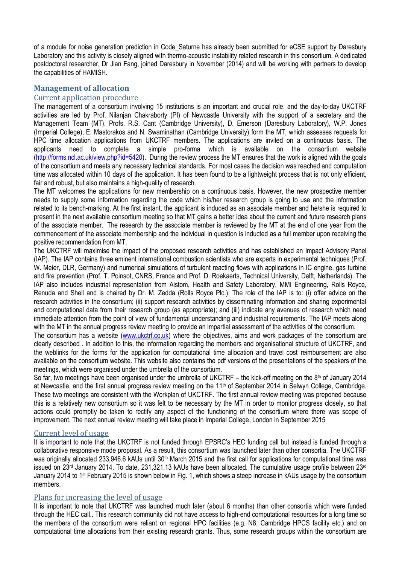of a module for noise generation prediction in Code\_Saturne has already been submitted for eCSE support by Daresbury Laboratory and this activity is closely aligned with thermo-acoustic instability related research in this consortium. A dedicated postdoctoral researcher, Dr Jian Fang, joined Daresbury in November (2014) and will be working with partners to develop the capabilities of HAMISH.

# **Management of allocation**

# Current application procedure

The management of a consortium involving 15 institutions is an important and crucial role, and the day-to-day UKCTRF activities are led by Prof. Nilanjan Chakraborty (PI) of Newcastle University with the support of a secretary and the Management Team (MT). Profs. R.S. Cant (Cambridge University), D. Emerson (Daresbury Laboratory), W.P. Jones (Imperial College), E. Mastorakos and N. Swaminathan (Cambridge University) form the MT, which assesses requests for HPC time allocation applications from UKCTRF members. The applications are invited on a continuous basis. The applicants need to complete a simple pro-forma which is available on the consortium website [\(http://forms.ncl.ac.uk/view.php?id=5420\)](http://forms.ncl.ac.uk/view.php?id=5420). During the review process the MT ensures that the work is aligned with the goals of the consortium and meets any necessary technical standards. For most cases the decision was reached and computation time was allocated within 10 days of the application. It has been found to be a lightweight process that is not only efficient, fair and robust, but also maintains a high-quality of research.

The MT welcomes the applications for new membership on a continuous basis. However, the new prospective member needs to supply some information regarding the code which his/her research group is going to use and the information related to its bench-marking. At the first instant, the applicant is induced as an associate member and he/she is required to present in the next available consortium meeting so that MT gains a better idea about the current and future research plans of the associate member. The research by the associate member is reviewed by the MT at the end of one year from the commencement of the associate membership and the individual in question is inducted as a full member upon receiving the positive recommendation from MT.

The UKCTRF will maximise the impact of the proposed research activities and has established an Impact Advisory Panel (IAP). The IAP contains three eminent international combustion scientists who are experts in experimental techniques (Prof. W. Meier, DLR, Germany) and numerical simulations of turbulent reacting flows with applications in IC engine, gas turbine and fire prevention (Prof. T. Poinsot, CNRS, France and Prof. D. Roekaerts, Technical University, Delft, Netherlands). The IAP also includes industrial representation from Alstom, Health and Safety Laboratory, MMI Engineering, Rolls Royce, Renuda and Shell and is chaired by Dr. M. Zedda (Rolls Royce Plc.). The role of the IAP is to: (i) offer advice on the research activities in the consortium; (ii) support research activities by disseminating information and sharing experimental and computational data from their research group (as appropriate); and (iii) indicate any avenues of research which need immediate attention from the point of view of fundamental understanding and industrial requirements. The IAP meets along with the MT in the annual progress review meeting to provide an impartial assessment of the activities of the consortium.

The consortium has a website [\(www.ukctrf.co.uk\)](http://www.ukctrf.co.uk/) where the objectives, aims and work packages of the consortium are clearly described . In addition to this, the information regarding the members and organisational structure of UKCTRF, and the weblinks for the forms for the application for computational time allocation and travel cost reimbursement are also available on the consortium website. This website also contains the pdf versions of the presentations of the speakers of the meetings, which were organised under the umbrella of the consortium.

So far, two meetings have been organised under the umbrella of UKCTRF – the kick-off meeting on the  $8<sup>th</sup>$  of January 2014 at Newcastle, and the first annual progress review meeting on the 11<sup>th</sup> of September 2014 in Selwyn College, Cambridge. These two meetings are consistent with the Workplan of UKCTRF. The first annual review meeting was preponed because this is a relatively new consortium so it was felt to be necessary by the MT in order to monitor progress closely, so that actions could promptly be taken to rectify any aspect of the functioning of the consortium where there was scope of improvement. The next annual review meeting will take place in Imperial College, London in September 2015

# Current level of usage

It is important to note that the UKCTRF is not funded through EPSRC's HEC funding call but instead is funded through a collaborative responsive mode proposal. As a result, this consortium was launched later than other consortia. The UKCTRF was originally allocated 233,946.6 kAUs until 30<sup>th</sup> March 2015 and the first call for applications for computational time was issued on 23rd January 2014. To date, 231,321.13 kAUs have been allocated. The cumulative usage profile between 23rd January 2014 to 1<sup>st</sup> February 2015 is shown below in Fig. 1, which shows a steep increase in kAUs usage by the consortium members.

## Plans for increasing the level of usage

It is important to note that UKCTRF was launched much later (about 6 months) than other consortia which were funded through the HEC call.. This research community did not have access to high-end computational resources for a long time so the members of the consortium were reliant on regional HPC facilities (e.g. N8, Cambridge HPCS facility etc.) and on computational time allocations from their existing research grants. Thus, some research groups within the consortium are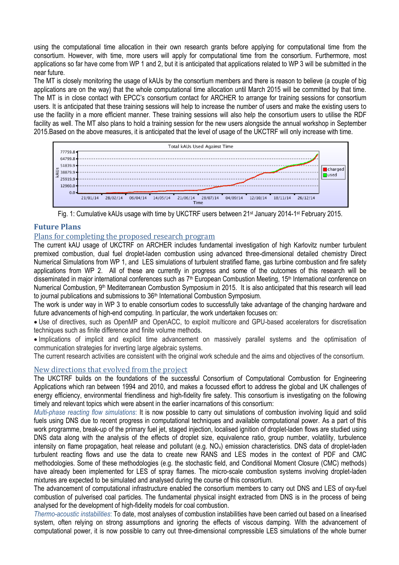using the computational time allocation in their own research grants before applying for computational time from the consortium. However, with time, more users will apply for computational time from the consortium. Furthermore, most applications so far have come from WP 1 and 2, but it is anticipated that applications related to WP 3 will be submitted in the near future.

The MT is closely monitoring the usage of kAUs by the consortium members and there is reason to believe (a couple of big applications are on the way) that the whole computational time allocation until March 2015 will be committed by that time. The MT is in close contact with EPCC's consortium contact for ARCHER to arrange for training sessions for consortium users. It is anticipated that these training sessions will help to increase the number of users and make the existing users to use the facility in a more efficient manner. These training sessions will also help the consortium users to utilise the RDF facility as well. The MT also plans to hold a training session for the new users alongside the annual workshop in September 2015.Based on the above measures, it is anticipated that the level of usage of the UKCTRF will only increase with time.



Fig. 1: Cumulative kAUs usage with time by UKCTRF users between 21<sup>st</sup> January 2014-1<sup>st</sup> February 2015.

# **Future Plans**

# Plans for completing the proposed research program

The current kAU usage of UKCTRF on ARCHER includes fundamental investigation of high Karlovitz number turbulent premixed combustion, dual fuel droplet-laden combustion using advanced three-dimensional detailed chemistry Direct Numerical Simulations from WP 1, and LES simulations of turbulent stratified flame, gas turbine combustion and fire safety applications from WP 2. All of these are currently in progress and some of the outcomes of this research will be disseminated in major international conferences such as 7<sup>th</sup> European Combustion Meeting, 15<sup>th</sup> International conference on Numerical Combustion, 9<sup>th</sup> Mediterranean Combustion Symposium in 2015. It is also anticipated that this research will lead to journal publications and submissions to 36<sup>th</sup> International Combustion Symposium.

The work is under way in WP 3 to enable consortium codes to successfully take advantage of the changing hardware and future advancements of high-end computing. In particular, the work undertaken focuses on:

 Use of directives, such as OpenMP and OpenACC, to exploit multicore and GPU-based accelerators for discretisation techniques such as finite difference and finite volume methods.

 Implications of implicit and explicit time advancement on massively parallel systems and the optimisation of communication strategies for inverting large algebraic systems.

The current research activities are consistent with the original work schedule and the aims and objectives of the consortium.

# New directions that evolved from the project

The UKCTRF builds on the foundations of the successful Consortium of Computational Combustion for Engineering Applications which ran between 1994 and 2010, and makes a focussed effort to address the global and UK challenges of energy efficiency, environmental friendliness and high-fidelity fire safety. This consortium is investigating on the following timely and relevant topics which were absent in the earlier incarnations of this consortium:

*Multi-phase reacting flow simulations*: It is now possible to carry out simulations of combustion involving liquid and solid fuels using DNS due to recent progress in computational techniques and available computational power. As a part of this work programme, break-up of the primary fuel jet, staged injection, localised ignition of droplet-laden flows are studied using DNS data along with the analysis of the effects of droplet size, equivalence ratio, group number, volatility, turbulence intensity on flame propagation, heat release and pollutant (e.g.  $NO<sub>x</sub>$ ) emission characteristics. DNS data of droplet-laden turbulent reacting flows and use the data to create new RANS and LES modes in the context of PDF and CMC methodologies. Some of these methodologies (e.g. the stochastic field, and Conditional Moment Closure (CMC) methods) have already been implemented for LES of spray flames. The micro-scale combustion systems involving droplet-laden mixtures are expected to be simulated and analysed during the course of this consortium.

The advancement of computational infrastructure enabled the consortium members to carry out DNS and LES of oxy-fuel combustion of pulverised coal particles. The fundamental physical insight extracted from DNS is in the process of being analysed for the development of high-fidelity models for coal combustion.

*Thermo-acoustic instabilities*: To date, most analyses of combustion instabilities have been carried out based on a linearised system, often relying on strong assumptions and ignoring the effects of viscous damping. With the advancement of computational power, it is now possible to carry out three-dimensional compressible LES simulations of the whole burner